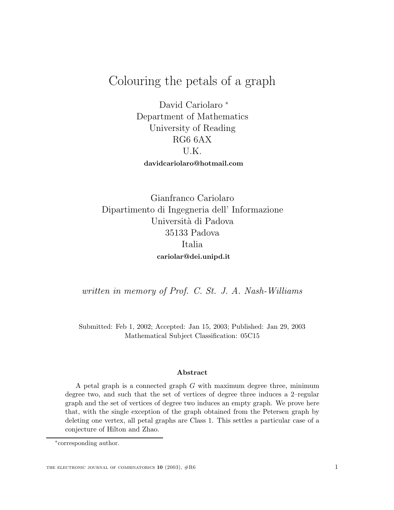# $C^{\text{c}}$  colouring the perturbation of  $G^{\text{c}}$  and  $G^{\text{c}}$

David Cariolaro <sup>∗</sup> Department of Mathematics University of Reading RG6 6AX U.K. **davidcariolaro@hotmail.com**

Gianfranco Cariolaro Dipartimento di Ingegneria dell' Informazione Universit`a di Padova 35133 Padova Italia **cariolar@dei.unipd.it**

written in memory of Prof. C. St. J. A. Nash-Williams

Submitted: Feb 1, 2002; Accepted: Jan 15, 2003; Published: Jan 29, 2003 Mathematical Subject Classification: 05C15

#### **Abstract**

A petal graph is a connected graph  $G$  with maximum degree three, minimum degree two, and such that the set of vertices of degree three induces a 2–regular graph and the set of vertices of degree two induces an empty graph. We prove here that, with the single exception of the graph obtained from the Petersen graph by deleting one vertex, all petal graphs are Class 1. This settles a particular case of a conjecture of Hilton and Zhao.

<sup>∗</sup>corresponding author.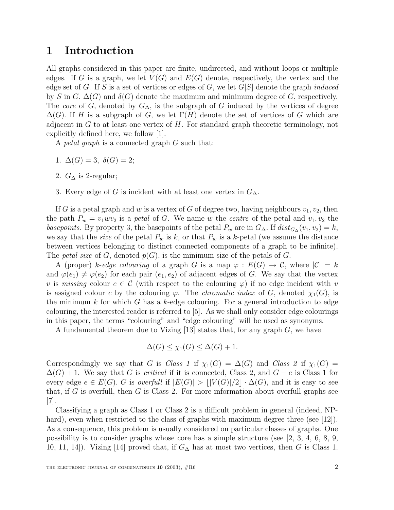### **1 Introduction**

All graphs considered in this paper are finite, undirected, and without loops or multiple edges. If G is a graph, we let  $V(G)$  and  $E(G)$  denote, respectively, the vertex and the edge set of G. If S is a set of vertices or edges of G, we let  $G[S]$  denote the graph *induced* by S in G.  $\Delta(G)$  and  $\delta(G)$  denote the maximum and minimum degree of G, respectively. The core of G, denoted by  $G_{\Delta}$ , is the subgraph of G induced by the vertices of degree  $\Delta(G)$ . If H is a subgraph of G, we let  $\Gamma(H)$  denote the set of vertices of G which are adjacent in  $G$  to at least one vertex of  $H$ . For standard graph theoretic terminology, not explicitly defined here, we follow [1].

A petal graph is a connected graph G such that:

- 1.  $\Delta(G) = 3, \ \delta(G) = 2;$
- 2.  $G_{\Delta}$  is 2-regular;
- 3. Every edge of G is incident with at least one vertex in  $G_{\Delta}$ .

If G is a petal graph and w is a vertex of G of degree two, having neighbours  $v_1, v_2$ , then the path  $P_w = v_1 w v_2$  is a *petal* of G. We name w the centre of the petal and  $v_1, v_2$  the basepoints. By property 3, the basepoints of the petal  $P_w$  are in  $G_{\Delta}$ . If  $dist_{G_{\Delta}}(v_1, v_2) = k$ , we say that the *size* of the petal  $P_w$  is k, or that  $P_w$  is a k-petal (we assume the distance between vertices belonging to distinct connected components of a graph to be infinite). The petal size of G, denoted  $p(G)$ , is the minimum size of the petals of G.

A (proper) k-edge colouring of a graph G is a map  $\varphi : E(G) \to C$ , where  $|\mathcal{C}| = k$ and  $\varphi(e_1) \neq \varphi(e_2)$  for each pair  $(e_1, e_2)$  of adjacent edges of G. We say that the vertex v is missing colour  $c \in \mathcal{C}$  (with respect to the colouring  $\varphi$ ) if no edge incident with v is assigned colour c by the colouring  $\varphi$ . The *chromatic index* of G, denoted  $\chi_1(G)$ , is the minimum  $k$  for which  $G$  has a  $k$ -edge colouring. For a general introduction to edge colouring, the interested reader is referred to [5]. As we shall only consider edge colourings in this paper, the terms "colouring" and "edge colouring" will be used as synonyms.

A fundamental theorem due to Vizing  $[13]$  states that, for any graph G, we have

$$
\Delta(G) \le \chi_1(G) \le \Delta(G) + 1.
$$

Correspondingly we say that G is Class 1 if  $\chi_1(G) = \Delta(G)$  and Class 2 if  $\chi_1(G) =$  $\Delta(G) + 1$ . We say that G is critical if it is connected, Class 2, and  $G - e$  is Class 1 for every edge  $e \in E(G)$ . G is overfull if  $|E(G)| > |V(G)|/2 \cdot \Delta(G)$ , and it is easy to see that, if G is overfull, then G is Class 2. For more information about overfull graphs see [7].

Classifying a graph as Class 1 or Class 2 is a difficult problem in general (indeed, NPhard), even when restricted to the class of graphs with maximum degree three (see [12]). As a consequence, this problem is usually considered on particular classes of graphs. One possibility is to consider graphs whose core has a simple structure (see  $(2, 3, 4, 6, 8, 9, 4)$ ) 10, 11, 14]). Vizing [14] proved that, if  $G<sub>∆</sub>$  has at most two vertices, then G is Class 1.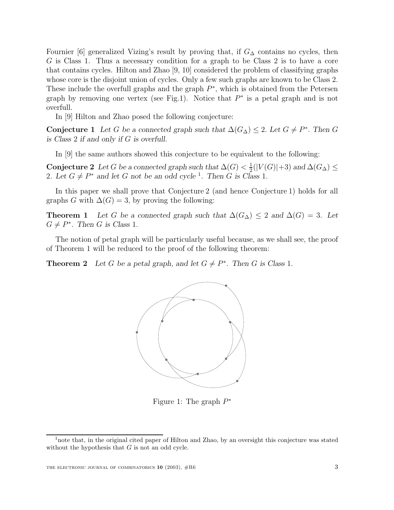Fournier [6] generalized Vizing's result by proving that, if  $G_{\Delta}$  contains no cycles, then G is Class 1. Thus a necessary condition for a graph to be Class 2 is to have a core that contains cycles. Hilton and Zhao [9, 10] considered the problem of classifying graphs whose core is the disjoint union of cycles. Only a few such graphs are known to be Class 2. These include the overfull graphs and the graph  $P^*$ , which is obtained from the Petersen graph by removing one vertex (see Fig.1). Notice that  $P^*$  is a petal graph and is not overfull.

In [9] Hilton and Zhao posed the following conjecture:

**Conjecture 1** Let G be a connected graph such that  $\Delta(G_{\Delta}) \leq 2$ . Let  $G \neq P^*$ . Then G *is Class* 2 *if and only if* G *is overfull.*

In [9] the same authors showed this conjecture to be equivalent to the following:

**Conjecture 2** *Let* G *be a connected graph such that*  $\Delta(G) < \frac{1}{2}(|V(G)|+3)$  *and*  $\Delta(G_{\Delta}) \le$ 2*.* Let  $G \neq P^*$  and let G not be an odd cycle<sup>1</sup>. Then G is Class 1.

In this paper we shall prove that Conjecture 2 (and hence Conjecture 1) holds for all graphs G with  $\Delta(G)=3$ , by proving the following:

**Theorem 1** *Let* G *be a connected graph such that*  $\Delta(G_{\Delta}) \leq 2$  *and*  $\Delta(G) = 3$ *. Let*  $G \neq P^*$ *. Then G* is Class 1.

The notion of petal graph will be particularly useful because, as we shall see, the proof of Theorem 1 will be reduced to the proof of the following theorem:

**Theorem 2** Let G be a petal graph, and let  $G \neq P^*$ . Then G is Class 1.



Figure 1: The graph  $P^*$ 

<sup>&</sup>lt;sup>1</sup> note that, in the original cited paper of Hilton and Zhao, by an oversight this conjecture was stated without the hypothesis that  $G$  is not an odd cycle.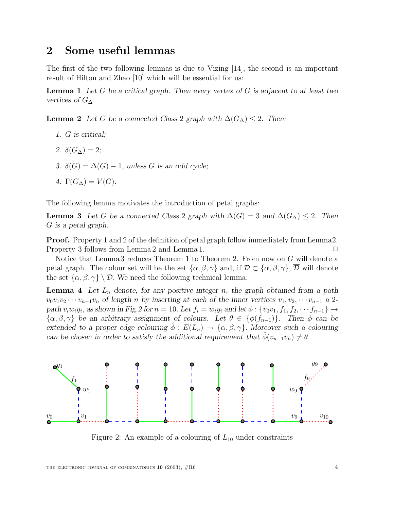## **2 Some useful lemmas**

The first of the two following lemmas is due to Vizing [14], the second is an important result of Hilton and Zhao [10] which will be essential for us:

**Lemma 1** *Let* G *be a critical graph. Then every vertex of* G *is adjacent to at least two vertices of*  $G_{\Delta}$ *.* 

**Lemma 2** *Let* G *be a connected Class* 2 *graph with*  $\Delta(G_{\Delta}) \leq 2$ . Then:

- *1.* G *is critical;*
- 2.  $\delta(G_{\Delta})=2$ ;
- *3.* δ(G) = ∆(G) − 1*, unless* G *is an odd cycle;*
- *4.*  $\Gamma(G_{\Lambda}) = V(G)$ .

The following lemma motivates the introduction of petal graphs:

**Lemma 3** *Let* G *be a connected Class* 2 *graph with*  $\Delta(G) = 3$  *and*  $\Delta(G_{\Delta}) \leq 2$ *. Then* G *is a petal graph.*

**Proof.** Property 1 and 2 of the definition of petal graph follow immediately from Lemma2. Property 3 follows from Lemma 2 and Lemma 1.  $\Box$ 

Notice that Lemma 3 reduces Theorem 1 to Theorem 2. From now on  $G$  will denote a petal graph. The colour set will be the set  $\{\alpha, \beta, \gamma\}$  and, if  $\mathcal{D} \subset \{\alpha, \beta, \gamma\}, \overline{\mathcal{D}}$  will denote the set  $\{\alpha, \beta, \gamma\} \setminus \mathcal{D}$ . We need the following technical lemma:

**Lemma 4** Let  $L_n$  denote, for any positive integer n, the graph obtained from a path  $v_0v_1v_2\cdots v_{n-1}v_n$  of length *n* by inserting at each of the inner vertices  $v_1, v_2, \cdots v_{n-1}$  a 2*path*  $v_iw_iy_i$ , as shown in Fig.2 for  $n = 10$ . Let  $f_i = w_iy_i$  and let  $\phi : \{v_0v_1, f_1, f_2, \dots, f_{n-1}\} \rightarrow$  $\{\alpha,\beta,\gamma\}$  be an arbitrary assignment of colours. Let  $\theta \in \overline{\{\phi(f_{n-1})\}}$ . Then  $\phi$  can be *extended to a proper edge colouring*  $\hat{\phi}: E(L_n) \to {\alpha, \beta, \gamma}$ . *Moreover such a colouring can be chosen in order to satisfy the additional requirement that*  $\phi(v_{n-1}v_n) \neq \theta$ .



Figure 2: An example of a colouring of  $L_{10}$  under constraints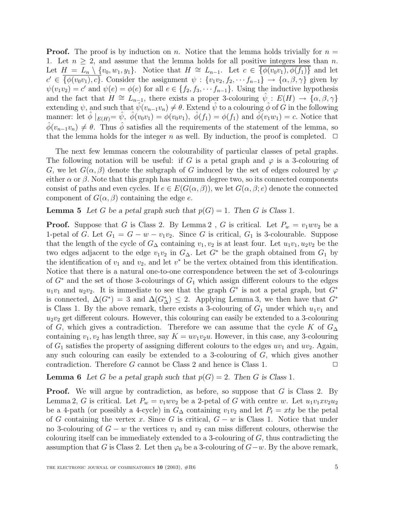**Proof.** The proof is by induction on n. Notice that the lemma holds trivially for  $n =$ 1. Let  $n > 2$ , and assume that the lemma holds for all positive integers less than n. Let  $H = L_n \setminus \{v_0, w_1, y_1\}.$  Notice that  $H \cong L_{n-1}$ . Let  $c \in \overline{\{\phi(v_0v_1), \phi(f_1)\}}$  and let  $c' \in {\overline{\{\phi(v_0v_1), c\}}}.$  Consider the assignment  $\psi : \{v_1v_2, f_2, \dots f_{n-1}\} \to {\alpha, \beta, \gamma}$  given by  $\psi(v_1v_2) = c'$  and  $\psi(e) = \phi(e)$  for all  $e \in \{f_2, f_3, \dots, f_{n-1}\}.$  Using the inductive hypothesis and the fact that  $H \cong L_{n-1}$ , there exists a proper 3-colouring  $\psi : E(H) \to \{\alpha, \beta, \gamma\}$ extending  $\psi$ , and such that  $\psi(v_{n-1}v_n) \neq \theta$ . Extend  $\psi$  to a colouring  $\phi$  of G in the following manner: let  $\hat{\phi}|_{E(H)} = \hat{\psi}, \ \hat{\phi}(v_0v_1) = \phi(v_0v_1), \ \hat{\phi}(f_1) = \phi(f_1)$  and  $\hat{\phi}(v_1w_1) = c$ . Notice that  $\hat{\phi}(v_{n-1}v_n) \neq \theta$ . Thus  $\hat{\phi}$  satisfies all the requirements of the statement of the lemma, so that the lemma holds for the integer n as well. By induction, the proof is completed.  $\Box$ 

The next few lemmas concern the colourability of particular classes of petal graphs. The following notation will be useful: if G is a petal graph and  $\varphi$  is a 3-colouring of G, we let  $G(\alpha, \beta)$  denote the subgraph of G induced by the set of edges coloured by  $\varphi$ either  $\alpha$  or  $\beta$ . Note that this graph has maximum degree two, so its connected components consist of paths and even cycles. If  $e \in E(G(\alpha, \beta))$ , we let  $G(\alpha, \beta; e)$  denote the connected component of  $G(\alpha, \beta)$  containing the edge e.

**Lemma 5** Let G be a petal graph such that  $p(G) = 1$ . Then G is Class 1.

**Proof.** Suppose that G is Class 2. By Lemma 2, G is critical. Let  $P_w = v_1 w v_2$  be a 1-petal of G. Let  $G_1 = G - w - v_1v_2$ . Since G is critical,  $G_1$  is 3-colourable. Suppose that the length of the cycle of  $G_{\Delta}$  containing  $v_1, v_2$  is at least four. Let  $u_1v_1, u_2v_2$  be the two edges adjacent to the edge  $v_1v_2$  in  $G_\Delta$ . Let  $G^*$  be the graph obtained from  $G_1$  by the identification of  $v_1$  and  $v_2$ , and let  $v^*$  be the vertex obtained from this identification. Notice that there is a natural one-to-one correspondence between the set of 3-colourings of  $G^*$  and the set of those 3-colourings of  $G_1$  which assign different colours to the edges  $u_1v_1$  and  $u_2v_2$ . It is immediate to see that the graph  $G^*$  is not a petal graph, but  $G^*$ is connected,  $\Delta(G^*) = 3$  and  $\Delta(G^*_{\Delta}) \leq 2$ . Applying Lemma 3, we then have that  $G^*$ is Class 1. By the above remark, there exists a 3-colouring of  $G_1$  under which  $u_1v_1$  and  $u_2v_2$  get different colours. However, this colouring can easily be extended to a 3-colouring of G, which gives a contradiction. Therefore we can assume that the cycle K of  $G<sub>\Delta</sub>$ containing  $v_1, v_2$  has length three, say  $K = uv_1v_2u$ . However, in this case, any 3-colouring of  $G_1$  satisfies the property of assigning different colours to the edges  $uv_1$  and  $uv_2$ . Again, any such colouring can easily be extended to a 3-colouring of G, which gives another contradiction. Therefore G cannot be Class 2 and hence is Class 1.  $\Box$ 

**Lemma 6** Let G be a petal graph such that  $p(G) = 2$ . Then G is Class 1.

**Proof.** We will argue by contradiction, as before, so suppose that G is Class 2. By Lemma 2, G is critical. Let  $P_w = v_1 w v_2$  be a 2-petal of G with centre w. Let  $u_1 v_1 x v_2 u_2$ be a 4-path (or possibly a 4-cycle) in  $G_{\Delta}$  containing  $v_1v_2$  and let  $P_t = xty$  be the petal of G containing the vertex x. Since G is critical,  $G - w$  is Class 1. Notice that under no 3-colouring of  $G - w$  the vertices  $v_1$  and  $v_2$  can miss different colours, otherwise the colouring itself can be immediately extended to a 3-colouring of  $G$ , thus contradicting the assumption that G is Class 2. Let then  $\varphi_0$  be a 3-colouring of  $G-w$ . By the above remark,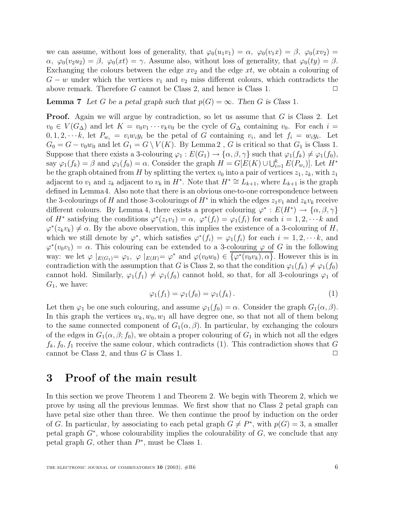we can assume, without loss of generality, that  $\varphi_0(u_1v_1) = \alpha$ ,  $\varphi_0(v_1x) = \beta$ ,  $\varphi_0(xv_2) =$  $\alpha$ ,  $\varphi_0(v_2u_2) = \beta$ ,  $\varphi_0(xt) = \gamma$ . Assume also, without loss of generality, that  $\varphi_0(ty) = \beta$ . Exchanging the colours between the edge  $xv_2$  and the edge  $xt$ , we obtain a colouring of  $G - w$  under which the vertices  $v_1$  and  $v_2$  miss different colours, which contradicts the above remark. Therefore G cannot be Class 2, and hence is Class 1.  $\Box$ 

**Lemma 7** *Let* G *be a petal graph such that*  $p(G) = \infty$ *. Then* G *is Class* 1*.* 

**Proof.** Again we will argue by contradiction, so let us assume that G is Class 2. Let  $v_0 \in V(G_{\Delta})$  and let  $K = v_0v_1 \cdots v_kv_0$  be the cycle of  $G_{\Delta}$  containing  $v_0$ . For each  $i =$  $0, 1, 2, \dots k$ , let  $P_{w_i} = v_i w_i y_i$  be the petal of G containing  $v_i$ , and let  $f_i = w_i y_i$ . Let  $G_0 = G - v_0w_0$  and let  $G_1 = G \setminus V(K)$ . By Lemma 2, G is critical so that  $G_1$  is Class 1. Suppose that there exists a 3-colouring  $\varphi_1 : E(G_1) \to \{\alpha, \beta, \gamma\}$  such that  $\varphi_1(f_k) \neq \varphi_1(f_0)$ , say  $\varphi_1(f_k) = \beta$  and  $\varphi_1(f_0) = \alpha$ . Consider the graph  $H = G[E(K) \cup \bigcup_{i=1}^k E(P_{w_i})]$ . Let  $H^*$ be the graph obtained from H by splitting the vertex  $v_0$  into a pair of vertices  $z_1, z_k$ , with  $z_1$ adjacent to  $v_1$  and  $z_k$  adjacent to  $v_k$  in  $H^*$ . Note that  $H^* \cong L_{k+1}$ , where  $L_{k+1}$  is the graph defined in Lemma4. Also note that there is an obvious one-to-one correspondence between the 3-colourings of H and those 3-colourings of  $H^*$  in which the edges  $z_1v_1$  and  $z_kv_k$  receive different colours. By Lemma 4, there exists a proper colouring  $\varphi^* : E(H^*) \to \{\alpha, \beta, \gamma\}$ of H<sup>\*</sup> satisfying the conditions  $\varphi^*(z_1v_1) = \alpha$ ,  $\varphi^*(f_i) = \varphi_1(f_i)$  for each  $i = 1, 2, \dots k$  and  $\varphi^*(z_kv_k) \neq \alpha$ . By the above observation, this implies the existence of a 3-colouring of H, which we still denote by  $\varphi^*$ , which satisfies  $\varphi^*(f_i) = \varphi_1(f_i)$  for each  $i = 1, 2, \dots k$ , and  $\varphi^*(v_0v_1) = \alpha$ . This colouring can be extended to a 3-colouring  $\varphi$  of G in the following way: we let  $\varphi|_{E(G_1)} = \varphi_1$ ,  $\varphi|_{E(H)} = \varphi^*$  and  $\varphi(v_0w_0) \in {\varphi^*(v_0v_k)}, \alpha$ . However this is in contradiction with the assumption that G is Class 2, so that the condition  $\varphi_1(f_k) \neq \varphi_1(f_0)$ cannot hold. Similarly,  $\varphi_1(f_1) \neq \varphi_1(f_0)$  cannot hold, so that, for all 3-colourings  $\varphi_1$  of  $G_1$ , we have:

$$
\varphi_1(f_1) = \varphi_1(f_0) = \varphi_1(f_k). \tag{1}
$$

Let then  $\varphi_1$  be one such colouring, and assume  $\varphi_1(f_0) = \alpha$ . Consider the graph  $G_1(\alpha, \beta)$ . In this graph the vertices  $w_k, w_0, w_1$  all have degree one, so that not all of them belong to the same connected component of  $G_1(\alpha, \beta)$ . In particular, by exchanging the colours of the edges in  $G_1(\alpha, \beta; f_0)$ , we obtain a proper colouring of  $G_1$  in which not all the edges  $f_k$ ,  $f_0$ ,  $f_1$  receive the same colour, which contradicts (1). This contradiction shows that G cannot be Class 2, and thus G is Class 1.  $\Box$ 

### **3 Proof of the main result**

In this section we prove Theorem 1 and Theorem 2. We begin with Theorem 2, which we prove by using all the previous lemmas. We first show that no Class 2 petal graph can have petal size other than three. We then continue the proof by induction on the order of G. In particular, by associating to each petal graph  $G \neq P^*$ , with  $p(G)=3$ , a smaller petal graph  $G^*$ , whose colourability implies the colourability of  $G$ , we conclude that any petal graph  $G$ , other than  $P^*$ , must be Class 1.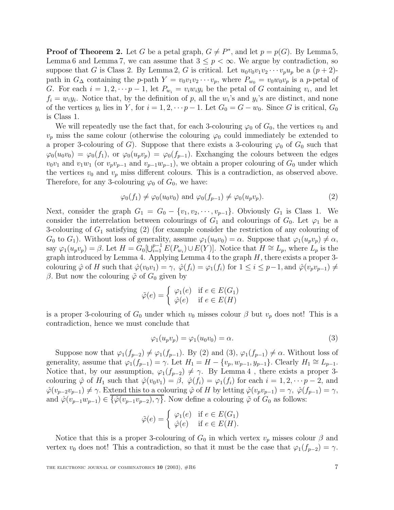**Proof of Theorem 2.** Let G be a petal graph,  $G \neq P^*$ , and let  $p = p(G)$ . By Lemma 5, Lemma 6 and Lemma 7, we can assume that  $3 \leq p < \infty$ . We argue by contradiction, so suppose that G is Class 2. By Lemma 2, G is critical. Let  $u_0v_0v_1v_2\cdots v_pu_p$  be a  $(p+2)$ path in  $G_{\Delta}$  containing the p-path  $Y = v_0v_1v_2\cdots v_p$ , where  $P_{w_0} = v_0w_0v_p$  is a p-petal of G. For each  $i = 1, 2, \dots p-1$ , let  $P_{w_i} = v_i w_i y_i$  be the petal of G containing  $v_i$ , and let  $f_i = w_i y_i$ . Notice that, by the definition of p, all the w<sub>i</sub>'s and y<sub>i</sub>'s are distinct, and none of the vertices  $y_i$  lies in Y, for  $i = 1, 2, \dots, p-1$ . Let  $G_0 = G - w_0$ . Since G is critical,  $G_0$ is Class 1.

We will repeatedly use the fact that, for each 3-colouring  $\varphi_0$  of  $G_0$ , the vertices  $v_0$  and  $v_p$  miss the same colour (otherwise the colouring  $\varphi_0$  could immediately be extended to a proper 3-colouring of G). Suppose that there exists a 3-colouring  $\varphi_0$  of  $G_0$  such that  $\varphi_0(u_0v_0) = \varphi_0(f_1)$ , or  $\varphi_0(u_pv_p) = \varphi_0(f_{p-1})$ . Exchanging the colours between the edges  $v_0v_1$  and  $v_1w_1$  (or  $v_pv_{p-1}$  and  $v_{p-1}w_{p-1}$ ), we obtain a proper colouring of  $G_0$  under which the vertices  $v_0$  and  $v_p$  miss different colours. This is a contradiction, as observed above. Therefore, for any 3-colouring  $\varphi_0$  of  $G_0$ , we have:

$$
\varphi_0(f_1) \neq \varphi_0(u_0v_0) \text{ and } \varphi_0(f_{p-1}) \neq \varphi_0(u_pv_p). \tag{2}
$$

Next, consider the graph  $G_1 = G_0 - \{v_1, v_2, \dots, v_{p-1}\}.$  Obviously  $G_1$  is Class 1. We consider the interrelation between colourings of  $G_1$  and colourings of  $G_0$ . Let  $\varphi_1$  be a 3-colouring of  $G_1$  satisfying (2) (for example consider the restriction of any colouring of  $G_0$  to  $G_1$ ). Without loss of generality, assume  $\varphi_1(u_0v_0) = \alpha$ . Suppose that  $\varphi_1(u_pv_p) \neq \alpha$ , say  $\varphi_1(u_p v_p) = \beta$ . Let  $H = G_0[\bigcup_{i=1}^{p-1} E(P_{w_i}) \cup E(Y)]$ . Notice that  $H \cong L_p$ , where  $L_p$  is the graph introduced by Lemma 4. Applying Lemma 4 to the graph  $H$ , there exists a proper 3colouring  $\hat{\varphi}$  of H such that  $\hat{\varphi}(v_0v_1) = \gamma$ ,  $\hat{\varphi}(f_i) = \varphi_1(f_i)$  for  $1 \leq i \leq p-1$ , and  $\hat{\varphi}(v_pv_{p-1}) \neq \gamma$ β. But now the colouring  $\tilde{\varphi}$  of  $G_0$  given by

$$
\tilde{\varphi}(e) = \begin{cases} \varphi_1(e) & \text{if } e \in E(G_1) \\ \hat{\varphi}(e) & \text{if } e \in E(H) \end{cases}
$$

is a proper 3-colouring of  $G_0$  under which  $v_0$  misses colour  $\beta$  but  $v_p$  does not! This is a contradiction, hence we must conclude that

$$
\varphi_1(u_p v_p) = \varphi_1(u_0 v_0) = \alpha.
$$
\n(3)

Suppose now that  $\varphi_1(f_{p-2}) \neq \varphi_1(f_{p-1})$ . By (2) and (3),  $\varphi_1(f_{p-1}) \neq \alpha$ . Without loss of generality, assume that  $\varphi_1(f_{p-1}) = \gamma$ . Let  $H_1 = H - \{v_p, w_{p-1}, y_{p-1}\}$ . Clearly  $H_1 \cong L_{p-1}$ . Notice that, by our assumption,  $\varphi_1(f_{p-2}) \neq \gamma$ . By Lemma 4, there exists a proper 3colouring  $\hat{\varphi}$  of  $H_1$  such that  $\hat{\varphi}(v_0v_1) = \beta$ ,  $\hat{\varphi}(f_i) = \varphi_1(f_i)$  for each  $i = 1, 2, \dots, p-2$ , and  $\hat{\varphi}(v_{p-2}v_{p-1}) \neq \gamma$ . Extend this to a colouring  $\hat{\varphi}$  of H by letting  $\hat{\varphi}(v_{p}v_{p-1}) = \gamma$ ,  $\hat{\varphi}(f_{p-1}) = \gamma$ , and  $\hat{\varphi}(v_{p-1}w_{p-1}) \in \overline{\{\hat{\varphi}(v_{p-1}v_{p-2}), \gamma\}}$ . Now define a colouring  $\tilde{\varphi}$  of  $G_0$  as follows:

$$
\tilde{\varphi}(e) = \begin{cases} \varphi_1(e) & \text{if } e \in E(G_1) \\ \hat{\varphi}(e) & \text{if } e \in E(H). \end{cases}
$$

Notice that this is a proper 3-colouring of  $G_0$  in which vertex  $v_p$  misses colour  $\beta$  and vertex  $v_0$  does not! This a contradiction, so that it must be the case that  $\varphi_1(f_{p-2}) = \gamma$ .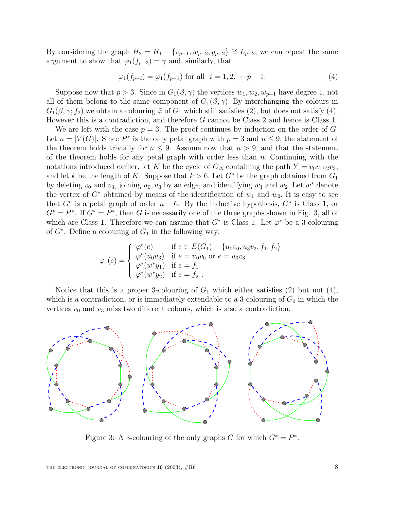By considering the graph  $H_2 = H_1 - \{v_{p-1}, w_{p-2}, y_{p-2}\} \cong L_{p-2}$ , we can repeat the same argument to show that  $\varphi_1(f_{p-3}) = \gamma$  and, similarly, that

$$
\varphi_1(f_{p-i}) = \varphi_1(f_{p-1}) \text{ for all } i = 1, 2, \dots p-1. \tag{4}
$$

Suppose now that  $p > 3$ . Since in  $G_1(\beta, \gamma)$  the vertices  $w_1, w_2, w_{n-1}$  have degree 1, not all of them belong to the same component of  $G_1(\beta, \gamma)$ . By interchanging the colours in  $G_1(\beta, \gamma; f_2)$  we obtain a colouring  $\tilde{\varphi}$  of  $G_1$  which still satisfies (2), but does not satisfy (4). However this is a contradiction, and therefore G cannot be Class 2 and hence is Class 1.

We are left with the case  $p = 3$ . The proof continues by induction on the order of G. Let  $n = |V(G)|$ . Since  $P^*$  is the only petal graph with  $p = 3$  and  $n \leq 9$ , the statement of the theorem holds trivially for  $n \leq 9$ . Assume now that  $n > 9$ , and that the statement of the theorem holds for any petal graph with order less than  $n$ . Continuing with the notations introduced earlier, let K be the cycle of  $G_{\Delta}$  containing the path  $Y = v_0v_1v_2v_3$ , and let k be the length of K. Suppose that  $k > 6$ . Let  $G^*$  be the graph obtained from  $G_1$ by deleting  $v_0$  and  $v_3$ , joining  $u_0, u_3$  by an edge, and identifying  $w_1$  and  $w_2$ . Let  $w^*$  denote the vertex of  $G^*$  obtained by means of the identification of  $w_1$  and  $w_2$ . It is easy to see that  $G^*$  is a petal graph of order  $n-6$ . By the inductive hypothesis,  $G^*$  is Class 1, or  $G^* = P^*$ . If  $G^* = P^*$ , then G is necessarily one of the three graphs shown in Fig. 3, all of which are Class 1. Therefore we can assume that  $G^*$  is Class 1. Let  $\varphi^*$  be a 3-colouring of  $G^*$ . Define a colouring of  $G_1$  in the following way:

$$
\varphi_1(e) = \begin{cases}\n\varphi^*(e) & \text{if } e \in E(G_1) - \{u_0v_0, u_3v_3, f_1, f_2\} \\
\varphi^*(u_0u_3) & \text{if } e = u_0v_0 \text{ or } e = u_3v_3 \\
\varphi^*(w^*y_1) & \text{if } e = f_1 \\
\varphi^*(w^*y_2) & \text{if } e = f_2\n\end{cases}
$$

Notice that this is a proper 3-colouring of  $G_1$  which either satisfies (2) but not (4), which is a contradiction, or is immediately extendable to a 3-colouring of  $G_0$  in which the vertices  $v_0$  and  $v_3$  miss two different colours, which is also a contradiction.



Figure 3: A 3-colouring of the only graphs G for which  $G^* = P^*$ .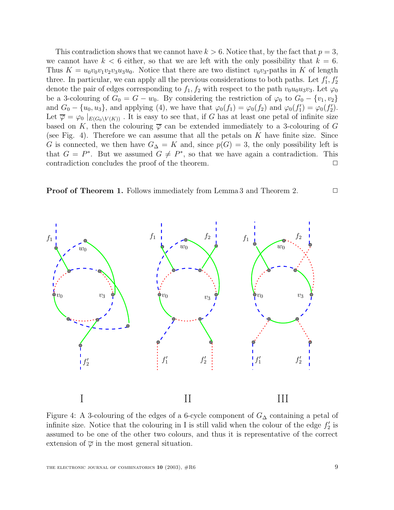This contradiction shows that we cannot have  $k > 6$ . Notice that, by the fact that  $p = 3$ , we cannot have  $k < 6$  either, so that we are left with the only possibility that  $k = 6$ . Thus  $K = u_0v_0v_1v_2v_3u_3u_0$ . Notice that there are two distinct  $v_0v_3$ -paths in K of length three. In particular, we can apply all the previous considerations to both paths. Let  $f'_1, f'_2$ denote the pair of edges corresponding to  $f_1, f_2$  with respect to the path  $v_0u_0u_3v_3$ . Let  $\varphi_0$ be a 3-colouring of  $G_0 = G - w_0$ . By considering the restriction of  $\varphi_0$  to  $G_0 - \{v_1, v_2\}$ and  $G_0 - \{u_0, u_3\}$ , and applying (4), we have that  $\varphi_0(f_1) = \varphi_0(f_2)$  and  $\varphi_0(f_1') = \varphi_0(f_2')$ . Let  $\overline{\varphi} = \varphi_0 |_{E(G_0 \setminus V(K))}$ . It is easy to see that, if G has at least one petal of infinite size based on K, then the colouring  $\overline{\varphi}$  can be extended immediately to a 3-colouring of G (see Fig. 4). Therefore we can assume that all the petals on  $K$  have finite size. Since G is connected, we then have  $G_{\Delta} = K$  and, since  $p(G) = 3$ , the only possibility left is that  $G = P^*$ . But we assumed  $G \neq P^*$ , so that we have again a contradiction. This contradiction concludes the proof of the theorem.  $\Box$ 





Figure 4: A 3-colouring of the edges of a 6-cycle component of  $G_{\Delta}$  containing a petal of infinite size. Notice that the colouring in I is still valid when the colour of the edge  $f_2'$  is assumed to be one of the other two colours, and thus it is representative of the correct extension of  $\overline{\varphi}$  in the most general situation.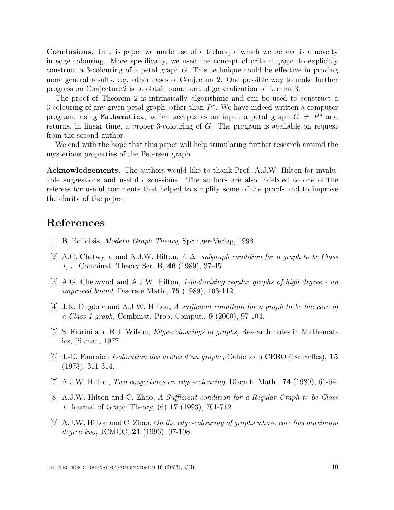**Conclusions.** In this paper we made use of a technique which we believe is a novelty in edge colouring. More specifically, we used the concept of critical graph to explicitly construct a 3-colouring of a petal graph G. This technique could be effective in proving more general results, e.g. other cases of Conjecture 2. One possible way to make further progress on Conjecture 2 is to obtain some sort of generalization of Lemma 3.

The proof of Theorem 2 is intrinsically algorithmic and can be used to construct a 3-colouring of any given petal graph, other than  $P^*$ . We have indeed written a computer program, using Mathematica, which accepts as an input a petal graph  $G \neq P^*$  and returns, in linear time, a proper 3-colouring of G. The program is available on request from the second author.

We end with the hope that this paper will help stimulating further research around the mysterious properties of the Petersen graph.

**Acknowledgements.** The authors would like to thank Prof. A.J.W. Hilton for invaluable suggestions and useful discussions. The authors are also indebted to one of the referees for useful comments that helped to simplify some of the proofs and to improve the clarity of the paper.

# **References**

- [1] B. Bollobás, *Modern Graph Theory*, Springer-Verlag, 1998.
- [2] A.G. Chetwynd and A.J.W. Hilton, A ∆−subgraph condition for a graph to be Class 1, J. Combinat. Theory Ser. B, **46** (1989), 37-45.
- [3] A.G. Chetwynd and A.J.W. Hilton, 1-factorizing regular graphs of high degree an improved bound, Discrete Math., **75** (1989), 103-112.
- [4] J.K. Dugdale and A.J.W. Hilton, A sufficient condition for a graph to be the core of a Class 1 graph, Combinat. Prob. Comput., **9** (2000), 97-104.
- [5] S. Fiorini and R.J. Wilson, Edge-colourings of graphs, Research notes in Mathematics, Pitman, 1977.
- [6] J.-C. Fournier, Coloration des arˆetes d'un graphe, Cahiers du CERO (Bruxelles), **15** (1973), 311-314.
- [7] A.J.W. Hilton, Two conjectures on edge-colouring, Discrete Math., **74** (1989), 61-64.
- [8] A.J.W. Hilton and C. Zhao, A Sufficient condition for a Regular Graph to be Class 1, Journal of Graph Theory, (6) **17** (1993), 701-712.
- [9] A.J.W. Hilton and C. Zhao, On the edge-colouring of graphs whose core has maximum degree two, JCMCC, **21** (1996), 97-108.